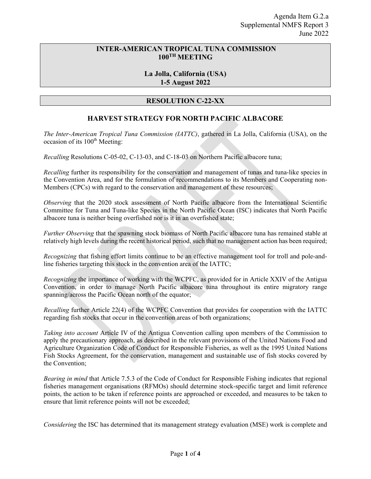## **INTER-AMERICAN TROPICAL TUNA COMMISSION 100TH MEETING**

## **La Jolla, California (USA) 1-5 August 2022**

## **RESOLUTION C-22-XX**

## **HARVEST STRATEGY FOR NORTH PACIFIC ALBACORE**

*The Inter-American Tropical Tuna Commission (IATTC)*, gathered in La Jolla, California (USA), on the occasion of its 100<sup>th</sup> Meeting:

*Recalling* Resolutions C-05-02, C-13-03, and C-18-03 on Northern Pacific albacore tuna;

*Recalling* further its responsibility for the conservation and management of tunas and tuna-like species in the Convention Area, and for the formulation of recommendations to its Members and Cooperating non-Members (CPCs) with regard to the conservation and management of these resources;

*Observing* that the 2020 stock assessment of North Pacific albacore from the International Scientific Committee for Tuna and Tuna-like Species in the North Pacific Ocean (ISC) indicates that North Pacific albacore tuna is neither being overfished nor is it in an overfished state;

*Further Observing* that the spawning stock biomass of North Pacific albacore tuna has remained stable at relatively high levels during the recent historical period, such that no management action has been required;

*Recognizing* that fishing effort limits continue to be an effective management tool for troll and pole-andline fisheries targeting this stock in the convention area of the IATTC;

*Recognizing* the importance of working with the WCPFC, as provided for in Article XXIV of the Antigua Convention, in order to manage North Pacific albacore tuna throughout its entire migratory range spanning/across the Pacific Ocean north of the equator;

*Recalling* further Article 22(4) of the WCPFC Convention that provides for cooperation with the IATTC regarding fish stocks that occur in the convention areas of both organizations;

*Taking into account* Article IV of the Antigua Convention calling upon members of the Commission to apply the precautionary approach, as described in the relevant provisions of the United Nations Food and Agriculture Organization Code of Conduct for Responsible Fisheries, as well as the 1995 United Nations Fish Stocks Agreement, for the conservation, management and sustainable use of fish stocks covered by the Convention;

*Bearing in mind* that Article 7.5.3 of the Code of Conduct for Responsible Fishing indicates that regional fisheries management organisations (RFMOs) should determine stock-specific target and limit reference points, the action to be taken if reference points are approached or exceeded, and measures to be taken to ensure that limit reference points will not be exceeded;

*Considering* the ISC has determined that its management strategy evaluation (MSE) work is complete and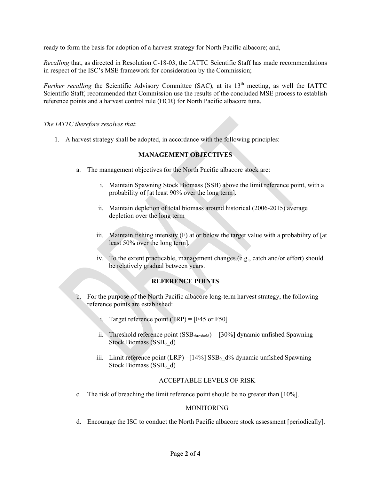ready to form the basis for adoption of a harvest strategy for North Pacific albacore; and,

*Recalling* that, as directed in Resolution C-18-03, the IATTC Scientific Staff has made recommendations in respect of the ISC's MSE framework for consideration by the Commission;

*Further recalling* the Scientific Advisory Committee (SAC), at its 13<sup>th</sup> meeting, as well the IATTC Scientific Staff, recommended that Commission use the results of the concluded MSE process to establish reference points and a harvest control rule (HCR) for North Pacific albacore tuna.

*The IATTC therefore resolves that*:

1. A harvest strategy shall be adopted, in accordance with the following principles:

## **MANAGEMENT OBJECTIVES**

- a. The management objectives for the North Pacific albacore stock are:
	- i. Maintain Spawning Stock Biomass (SSB) above the limit reference point, with a probability of [at least 90% over the long term].
	- ii. Maintain depletion of total biomass around historical (2006-2015) average depletion over the long term
	- iii. Maintain fishing intensity  $(F)$  at or below the target value with a probability of  $[at]$ least 50% over the long term].
	- iv. To the extent practicable, management changes (e.g., catch and/or effort) should be relatively gradual between years.

#### **REFERENCE POINTS**

- b. For the purpose of the North Pacific albacore long-term harvest strategy, the following reference points are established:
	- i. Target reference point  $(TRP) = [F45 \text{ or } F50]$
	- ii. Threshold reference point  $(SSB_{threshold}) = [30\%]$  dynamic unfished Spawning Stock Biomass  $(SSB<sub>0</sub> d)$
	- iii. Limit reference point (LRP) =  $[14\%]$  SSB<sub>0</sub> d% dynamic unfished Spawning Stock Biomass ( $SSB<sub>0</sub>$  d)

### ACCEPTABLE LEVELS OF RISK

c. The risk of breaching the limit reference point should be no greater than [10%].

#### **MONITORING**

d. Encourage the ISC to conduct the North Pacific albacore stock assessment [periodically].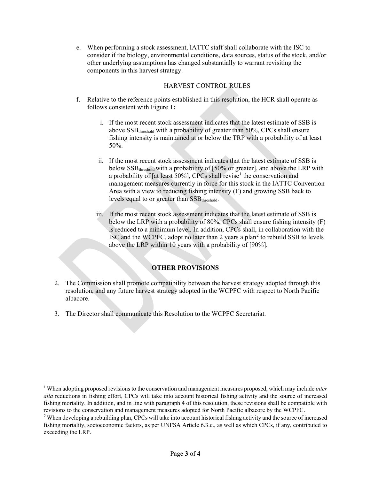e. When performing a stock assessment, IATTC staff shall collaborate with the ISC to consider if the biology, environmental conditions, data sources, status of the stock, and/or other underlying assumptions has changed substantially to warrant revisiting the components in this harvest strategy.

## HARVEST CONTROL RULES

- f. Relative to the reference points established in this resolution, the HCR shall operate as follows consistent with Figure 1**:**
	- i. If the most recent stock assessment indicates that the latest estimate of SSB is above SSB<sub>threshold</sub> with a probability of greater than 50%, CPCs shall ensure fishing intensity is maintained at or below the TRP with a probability of at least 50%.
	- ii. If the most recent stock assessment indicates that the latest estimate of SSB is below SSB<sub>threshold</sub> with a probability of [50% or greater], and above the LRP with a probability of [at least 50%], CPCs shall revise<sup>[1](#page-2-0)</sup> the conservation and management measures currently in force for this stock in the IATTC Convention Area with a view to reducing fishing intensity (F) and growing SSB back to levels equal to or greater than SSB<sub>threshold</sub>.
	- iii. If the most recent stock assessment indicates that the latest estimate of SSB is below the LRP with a probability of 80%, CPCs shall ensure fishing intensity (F) is reduced to a minimum level. In addition, CPCs shall, in collaboration with the ISC and the WCPFC, adopt no later than [2](#page-2-1) years a plan<sup>2</sup> to rebuild SSB to levels above the LRP within 10 years with a probability of [90%].

# **OTHER PROVISIONS**

- 2. The Commission shall promote compatibility between the harvest strategy adopted through this resolution, and any future harvest strategy adopted in the WCPFC with respect to North Pacific albacore.
- 3. The Director shall communicate this Resolution to the WCPFC Secretariat.

<span id="page-2-0"></span> <sup>1</sup> When adopting proposed revisions to the conservation and management measures proposed, which may include *inter alia* reductions in fishing effort, CPCs will take into account historical fishing activity and the source of increased fishing mortality. In addition, and in line with paragraph 4 of this resolution, these revisions shall be compatible with revisions to the conservation and management measures adopted for North Pacific albacore by the WCPFC.

<span id="page-2-1"></span><sup>&</sup>lt;sup>2</sup> When developing a rebuilding plan, CPCs will take into account historical fishing activity and the source of increased fishing mortality, socioeconomic factors, as per UNFSA Article 6.3.c., as well as which CPCs, if any, contributed to exceeding the LRP.